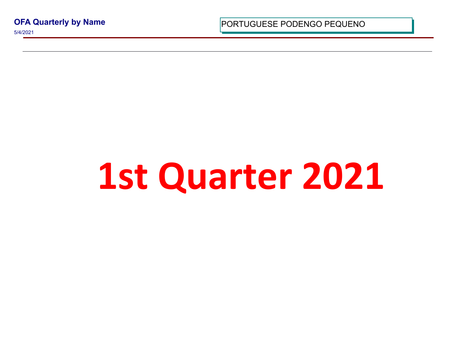**OFA Quarterly by Name**

5/4/2021

PORTUGUESE PODENGO PEQUI

## 1st Quarter 20<sup>2</sup>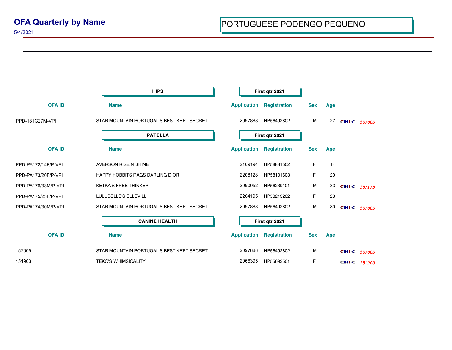5/4/2021

|                     | <b>HIPS</b>                               |                    | First qtr 2021      |            |     |             |  |
|---------------------|-------------------------------------------|--------------------|---------------------|------------|-----|-------------|--|
| <b>OFA ID</b>       | <b>Name</b>                               | <b>Application</b> | <b>Registration</b> | <b>Sex</b> | Age |             |  |
| PPD-181G27M-VPI     | STAR MOUNTAIN PORTUGAL'S BEST KEPT SECRET | 2097888            | HP56492802          | M          | 27  | CHIC 157005 |  |
|                     | <b>PATELLA</b>                            | First qtr 2021     |                     |            |     |             |  |
| <b>OFAID</b>        | <b>Name</b>                               | <b>Application</b> | Registration        | <b>Sex</b> | Age |             |  |
| PPD-PA172/14F/P-VPI | <b>AVERSON RISE N SHINE</b>               | 2169194            | HP58831502          | F          | 14  |             |  |
| PPD-PA173/20F/P-VPI | <b>HAPPY HOBBITS RAGS DARLING DIOR</b>    | 2208128            | HP58101603          | F          | 20  |             |  |
| PPD-PA176/33M/P-VPI | <b>KETKA'S FREE THINKER</b>               | 2090052            | HP56239101          | M          | 33  | CHIC 157175 |  |
| PPD-PA175/23F/P-VPI | LULUBELLE'S ELLEVILL                      | 2204195            | HP58213202          | F          | 23  |             |  |
| PPD-PA174/30M/P-VPI | STAR MOUNTAIN PORTUGAL'S BEST KEPT SECRET | 2097888            | HP56492802          | M          | 30  | CHIC 157005 |  |
|                     | <b>CANINE HEALTH</b>                      | First qtr 2021     |                     |            |     |             |  |
| <b>OFAID</b>        | <b>Name</b>                               | <b>Application</b> | <b>Registration</b> | <b>Sex</b> | Age |             |  |
| 157005              | STAR MOUNTAIN PORTUGAL'S BEST KEPT SECRET | 2097888            | HP56492802          | M          |     | CHIC 157005 |  |
| 151903              | <b>TEKO'S WHIMSICALITY</b>                | 2066395            | HP55693501          | F          |     | CHIC 151903 |  |